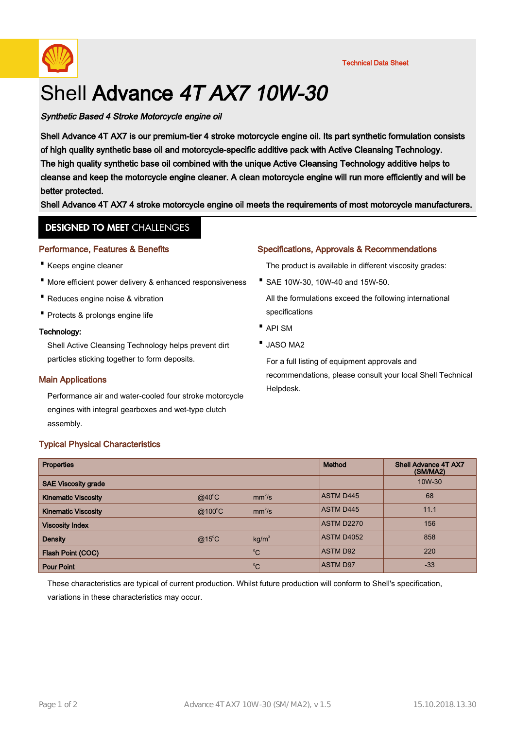

# Shell Advance 4T AX7 10W-30

## Synthetic Based 4 Stroke Motorcycle engine oil

Shell Advance 4T AX7 is our premium-tier 4 stroke motorcycle engine oil. Its part synthetic formulation consists of high quality synthetic base oil and motorcycle-specific additive pack with Active Cleansing Technology. The high quality synthetic base oil combined with the unique Active Cleansing Technology additive helps to cleanse and keep the motorcycle engine cleaner. A clean motorcycle engine will run more efficiently and will be better protected.

Shell Advance 4T AX7 4 stroke motorcycle engine oil meets the requirements of most motorcycle manufacturers.

# **DESIGNED TO MEET CHALLENGES**

#### Performance, Features & Benefits

- · Keeps engine cleaner
- · More efficient power delivery & enhanced responsiveness
- · Reduces engine noise & vibration
- · Protects & prolongs engine life

#### Technology:

Shell Active Cleansing Technology helps prevent dirt particles sticking together to form deposits.

#### Main Applications

Performance air and water-cooled four stroke motorcycle engines with integral gearboxes and wet-type clutch assembly.

#### Specifications, Approvals & Recommendations

The product is available in different viscosity grades:

· SAE 10W-30, 10W-40 and 15W-50.

All the formulations exceed the following international specifications

- · API SM
- · JASO MA2

For a full listing of equipment approvals and recommendations, please consult your local Shell Technical Helpdesk.

## Typical Physical Characteristics

| <b>Properties</b>          |                 |                    | Method            | <b>Shell Advance 4T AX7</b><br>(SM/MA2) |
|----------------------------|-----------------|--------------------|-------------------|-----------------------------------------|
| <b>SAE Viscosity grade</b> |                 |                    |                   | 10W-30                                  |
| <b>Kinematic Viscosity</b> | $@$ 40 $°C$     | mm <sup>2</sup> /s | <b>ASTM D445</b>  | 68                                      |
| <b>Kinematic Viscosity</b> | @100°C          | mm <sup>2</sup> /s | <b>ASTM D445</b>  | 11.1                                    |
| <b>Viscosity Index</b>     |                 |                    | <b>ASTM D2270</b> | 156                                     |
| <b>Density</b>             | $@15^{\circ}$ C | kg/m <sup>3</sup>  | <b>ASTM D4052</b> | 858                                     |
| <b>Flash Point (COC)</b>   |                 | $^{\circ}C$        | <b>ASTM D92</b>   | 220                                     |
| <b>Pour Point</b>          |                 | $^{\circ}C$        | <b>ASTM D97</b>   | $-33$                                   |

These characteristics are typical of current production. Whilst future production will conform to Shell's specification, variations in these characteristics may occur.